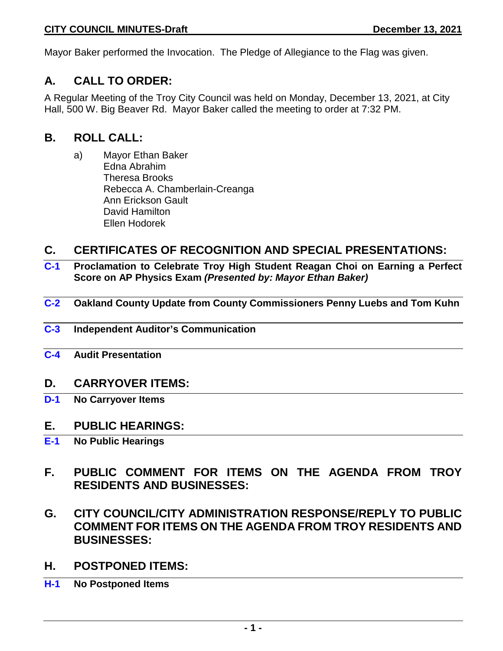Mayor Baker performed the Invocation. The Pledge of Allegiance to the Flag was given.

## **A. CALL TO ORDER:**

A Regular Meeting of the Troy City Council was held on Monday, December 13, 2021, at City Hall, 500 W. Big Beaver Rd. Mayor Baker called the meeting to order at 7:32 PM.

## **B. ROLL CALL:**

a) Mayor Ethan Baker Edna Abrahim Theresa Brooks Rebecca A. Chamberlain-Creanga Ann Erickson Gault David Hamilton Ellen Hodorek

## **C. CERTIFICATES OF RECOGNITION AND SPECIAL PRESENTATIONS:**

- **C-1 Proclamation to Celebrate Troy High Student Reagan Choi on Earning a Perfect Score on AP Physics Exam** *(Presented by: Mayor Ethan Baker)*
- **C-2 Oakland County Update from County Commissioners Penny Luebs and Tom Kuhn**
- **C-3 Independent Auditor's Communication**
- **C-4 Audit Presentation**

## **D. CARRYOVER ITEMS:**

**D-1 No Carryover Items**

## **E. PUBLIC HEARINGS:**

- **E-1 No Public Hearings**
- **F. PUBLIC COMMENT FOR ITEMS ON THE AGENDA FROM TROY RESIDENTS AND BUSINESSES:**
- **G. CITY COUNCIL/CITY ADMINISTRATION RESPONSE/REPLY TO PUBLIC COMMENT FOR ITEMS ON THE AGENDA FROM TROY RESIDENTS AND BUSINESSES:**
- **H. POSTPONED ITEMS:**
- **H-1 No Postponed Items**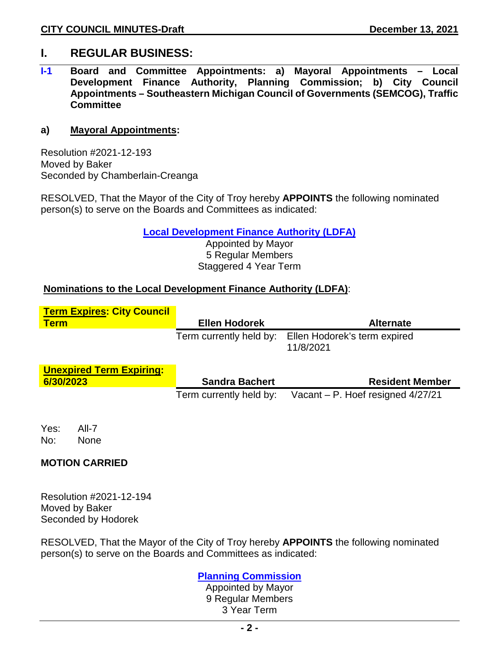## **I. REGULAR BUSINESS:**

**I-1 Board and Committee Appointments: a) Mayoral Appointments – Local Development Finance Authority, Planning Commission; b) City Council Appointments – Southeastern Michigan Council of Governments (SEMCOG), Traffic Committee**

### **a) Mayoral Appointments:**

Resolution #2021-12-193 Moved by Baker Seconded by Chamberlain-Creanga

RESOLVED, That the Mayor of the City of Troy hereby **APPOINTS** the following nominated person(s) to serve on the Boards and Committees as indicated:

**Local Development Finance Authority (LDFA)**

Appointed by Mayor 5 Regular Members Staggered 4 Year Term

### **Nominations to the Local Development Finance Authority (LDFA)**:

| <b>Term Expires: City Council</b> |                         |                                           |
|-----------------------------------|-------------------------|-------------------------------------------|
| <u>Term</u>                       | <b>Ellen Hodorek</b>    | <b>Alternate</b>                          |
|                                   | Term currently held by: | Ellen Hodorek's term expired<br>11/8/2021 |
| <b>Unexpired Term Expiring:</b>   |                         |                                           |
| 6/30/2023                         | <b>Sandra Bachert</b>   | <b>Resident Member</b>                    |
|                                   | Term currently held by: | Vacant – P. Hoef resigned $4/27/21$       |
|                                   |                         |                                           |

Yes: All-7 No: None

### **MOTION CARRIED**

Resolution #2021-12-194 Moved by Baker Seconded by Hodorek

RESOLVED, That the Mayor of the City of Troy hereby **APPOINTS** the following nominated person(s) to serve on the Boards and Committees as indicated:

### **Planning Commission**

Appointed by Mayor 9 Regular Members 3 Year Term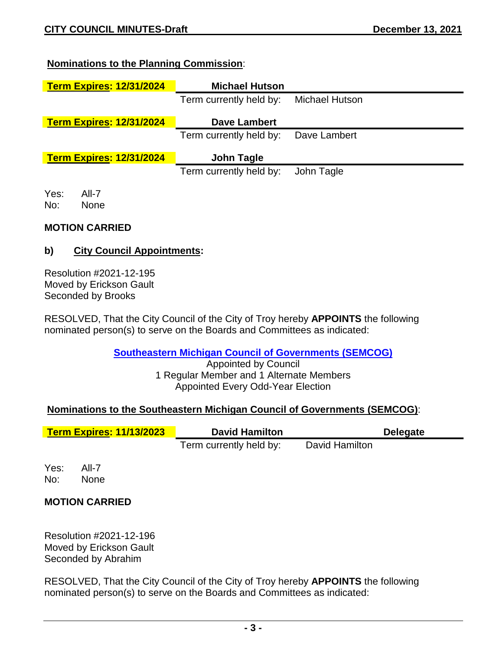### **Nominations to the Planning Commission**:

| <b>Term Expires: 12/31/2024</b> | <b>Michael Hutson</b>   |                |
|---------------------------------|-------------------------|----------------|
|                                 | Term currently held by: | Michael Hutson |
| <b>Term Expires: 12/31/2024</b> | <b>Dave Lambert</b>     |                |
|                                 | Term currently held by: | Dave Lambert   |
| <b>Term Expires: 12/31/2024</b> | John Tagle              |                |
|                                 | Term currently held by: | John Tagle     |
| Yes:<br>All-7                   |                         |                |
| No:<br><b>None</b>              |                         |                |

### **MOTION CARRIED**

### **b) City Council Appointments:**

Resolution #2021-12-195 Moved by Erickson Gault Seconded by Brooks

RESOLVED, That the City Council of the City of Troy hereby **APPOINTS** the following nominated person(s) to serve on the Boards and Committees as indicated:

**Southeastern Michigan Council of Governments (SEMCOG)**

Appointed by Council 1 Regular Member and 1 Alternate Members Appointed Every Odd-Year Election

### **Nominations to the Southeastern Michigan Council of Governments (SEMCOG)**:

| <b>Term Expires: 11/13/2023</b> |                      | <b>David Hamilton</b>   |                | <b>Delegate</b> |  |  |
|---------------------------------|----------------------|-------------------------|----------------|-----------------|--|--|
|                                 |                      | Term currently held by: | David Hamilton |                 |  |  |
| Yes:<br>No:                     | All-7<br><b>None</b> |                         |                |                 |  |  |

**MOTION CARRIED**

Resolution #2021-12-196 Moved by Erickson Gault Seconded by Abrahim

RESOLVED, That the City Council of the City of Troy hereby **APPOINTS** the following nominated person(s) to serve on the Boards and Committees as indicated: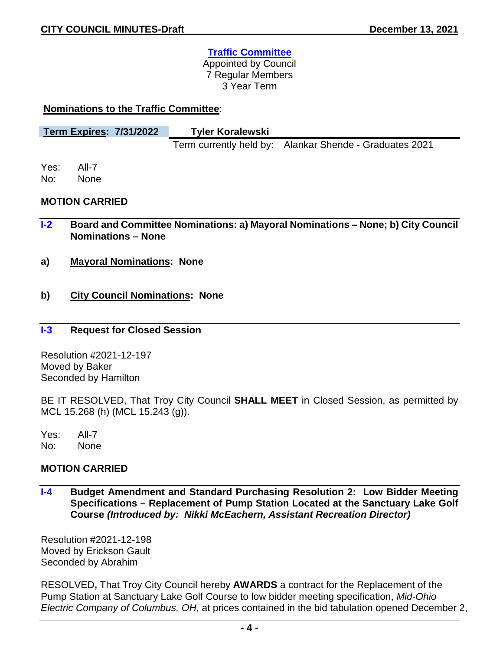## **Traffic Committee**

Appointed by Council 7 Regular Members 3 Year Term

### **Nominations to the Traffic Committee**:

| <b>Term Expires: 7/31/2022</b> | <b>Tyler Koralewski</b> |                                                         |
|--------------------------------|-------------------------|---------------------------------------------------------|
|                                |                         | Term currently held by: Alankar Shende - Graduates 2021 |

Yes: All-7 No: None

**MOTION CARRIED**

- **I-2 Board and Committee Nominations: a) Mayoral Nominations – None; b) City Council Nominations – None**
- **a) Mayoral Nominations: None**
- **b) City Council Nominations: None**

### **I-3 Request for Closed Session**

Resolution #2021-12-197 Moved by Baker Seconded by Hamilton

BE IT RESOLVED, That Troy City Council **SHALL MEET** in Closed Session, as permitted by MCL 15.268 (h) (MCL 15.243 (g)).

Yes: All-7 No: None

### **MOTION CARRIED**

**I-4 Budget Amendment and Standard Purchasing Resolution 2: Low Bidder Meeting Specifications – Replacement of Pump Station Located at the Sanctuary Lake Golf Course** *(Introduced by: Nikki McEachern, Assistant Recreation Director)* 

Resolution #2021-12-198 Moved by Erickson Gault Seconded by Abrahim

RESOLVED**,** That Troy City Council hereby **AWARDS** a contract for the Replacement of the Pump Station at Sanctuary Lake Golf Course to low bidder meeting specification, *Mid-Ohio Electric Company of Columbus, OH,* at prices contained in the bid tabulation opened December 2,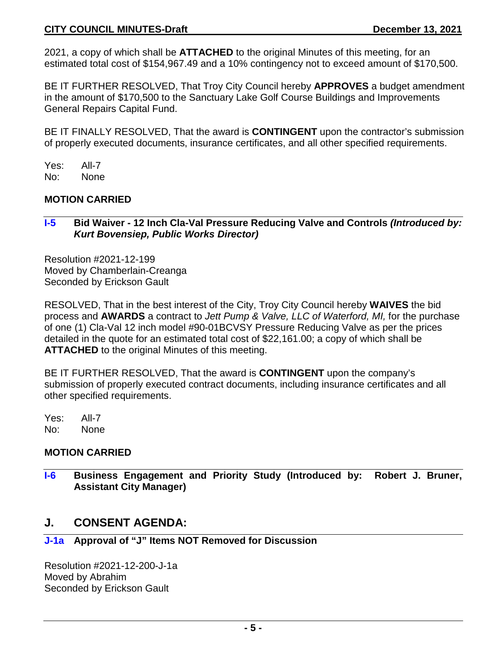### **CITY COUNCIL MINUTES-Draft December 13, 2021**

2021, a copy of which shall be **ATTACHED** to the original Minutes of this meeting, for an estimated total cost of \$154,967.49 and a 10% contingency not to exceed amount of \$170,500.

BE IT FURTHER RESOLVED, That Troy City Council hereby **APPROVES** a budget amendment in the amount of \$170,500 to the Sanctuary Lake Golf Course Buildings and Improvements General Repairs Capital Fund.

BE IT FINALLY RESOLVED, That the award is **CONTINGENT** upon the contractor's submission of properly executed documents, insurance certificates, and all other specified requirements.

Yes: All-7 No: None

### **MOTION CARRIED**

### **I-5 Bid Waiver - 12 Inch Cla-Val Pressure Reducing Valve and Controls** *(Introduced by: Kurt Bovensiep, Public Works Director)*

Resolution #2021-12-199 Moved by Chamberlain-Creanga Seconded by Erickson Gault

RESOLVED, That in the best interest of the City, Troy City Council hereby **WAIVES** the bid process and **AWARDS** a contract to *Jett Pump & Valve, LLC of Waterford, MI,* for the purchase of one (1) Cla-Val 12 inch model #90-01BCVSY Pressure Reducing Valve as per the prices detailed in the quote for an estimated total cost of \$22,161.00; a copy of which shall be **ATTACHED** to the original Minutes of this meeting.

BE IT FURTHER RESOLVED, That the award is **CONTINGENT** upon the company's submission of properly executed contract documents, including insurance certificates and all other specified requirements.

Yes: All-7 No: None

### **MOTION CARRIED**

**I-6 Business Engagement and Priority Study (Introduced by: Robert J. Bruner, Assistant City Manager)** 

## **J. CONSENT AGENDA:**

### **J-1a Approval of "J" Items NOT Removed for Discussion**

Resolution #2021-12-200-J-1a Moved by Abrahim Seconded by Erickson Gault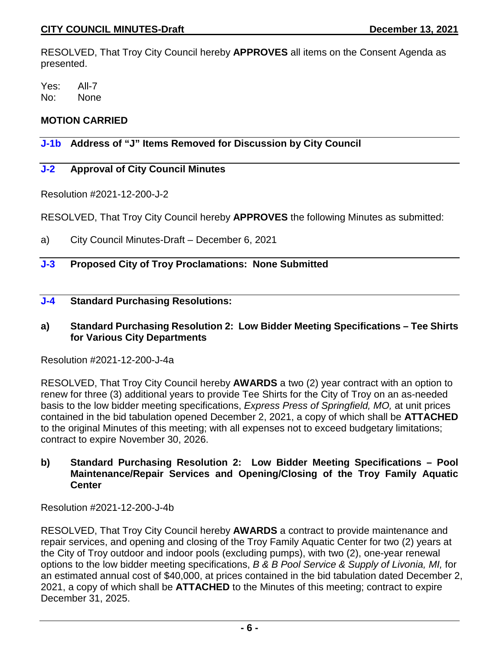RESOLVED, That Troy City Council hereby **APPROVES** all items on the Consent Agenda as presented.

Yes: All-7 No: None

## **MOTION CARRIED**

## **J-1b Address of "J" Items Removed for Discussion by City Council**

## **J-2 Approval of City Council Minutes**

Resolution #2021-12-200-J-2

RESOLVED, That Troy City Council hereby **APPROVES** the following Minutes as submitted:

a) City Council Minutes-Draft – December 6, 2021

## **J-3 Proposed City of Troy Proclamations: None Submitted**

### **J-4 Standard Purchasing Resolutions:**

### **a) Standard Purchasing Resolution 2: Low Bidder Meeting Specifications – Tee Shirts for Various City Departments**

Resolution #2021-12-200-J-4a

RESOLVED, That Troy City Council hereby **AWARDS** a two (2) year contract with an option to renew for three (3) additional years to provide Tee Shirts for the City of Troy on an as-needed basis to the low bidder meeting specifications, *Express Press of Springfield, MO,* at unit prices contained in the bid tabulation opened December 2, 2021, a copy of which shall be **ATTACHED** to the original Minutes of this meeting; with all expenses not to exceed budgetary limitations; contract to expire November 30, 2026.

### **b) Standard Purchasing Resolution 2: Low Bidder Meeting Specifications – Pool Maintenance/Repair Services and Opening/Closing of the Troy Family Aquatic Center**

Resolution #2021-12-200-J-4b

RESOLVED, That Troy City Council hereby **AWARDS** a contract to provide maintenance and repair services, and opening and closing of the Troy Family Aquatic Center for two (2) years at the City of Troy outdoor and indoor pools (excluding pumps), with two (2), one-year renewal options to the low bidder meeting specifications, *B & B Pool Service & Supply of Livonia, MI,* for an estimated annual cost of \$40,000, at prices contained in the bid tabulation dated December 2, 2021, a copy of which shall be **ATTACHED** to the Minutes of this meeting; contract to expire December 31, 2025.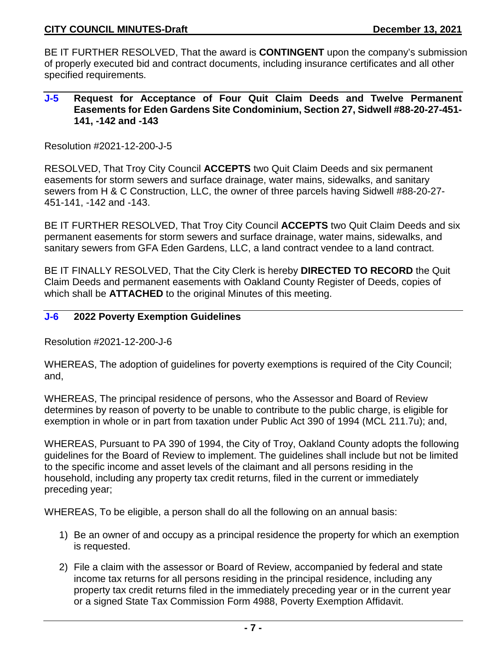BE IT FURTHER RESOLVED, That the award is **CONTINGENT** upon the company's submission of properly executed bid and contract documents, including insurance certificates and all other specified requirements.

### **J-5 Request for Acceptance of Four Quit Claim Deeds and Twelve Permanent Easements for Eden Gardens Site Condominium, Section 27, Sidwell #88-20-27-451- 141, -142 and -143**

Resolution #2021-12-200-J-5

RESOLVED, That Troy City Council **ACCEPTS** two Quit Claim Deeds and six permanent easements for storm sewers and surface drainage, water mains, sidewalks, and sanitary sewers from H & C Construction, LLC, the owner of three parcels having Sidwell #88-20-27- 451-141, -142 and -143.

BE IT FURTHER RESOLVED, That Troy City Council **ACCEPTS** two Quit Claim Deeds and six permanent easements for storm sewers and surface drainage, water mains, sidewalks, and sanitary sewers from GFA Eden Gardens, LLC, a land contract vendee to a land contract.

BE IT FINALLY RESOLVED, That the City Clerk is hereby **DIRECTED TO RECORD** the Quit Claim Deeds and permanent easements with Oakland County Register of Deeds, copies of which shall be **ATTACHED** to the original Minutes of this meeting.

### **J-6 2022 Poverty Exemption Guidelines**

Resolution #2021-12-200-J-6

WHEREAS, The adoption of guidelines for poverty exemptions is required of the City Council; and,

WHEREAS, The principal residence of persons, who the Assessor and Board of Review determines by reason of poverty to be unable to contribute to the public charge, is eligible for exemption in whole or in part from taxation under Public Act 390 of 1994 (MCL 211.7u); and,

WHEREAS, Pursuant to PA 390 of 1994, the City of Troy, Oakland County adopts the following guidelines for the Board of Review to implement. The guidelines shall include but not be limited to the specific income and asset levels of the claimant and all persons residing in the household, including any property tax credit returns, filed in the current or immediately preceding year;

WHEREAS, To be eligible, a person shall do all the following on an annual basis:

- 1) Be an owner of and occupy as a principal residence the property for which an exemption is requested.
- 2) File a claim with the assessor or Board of Review, accompanied by federal and state income tax returns for all persons residing in the principal residence, including any property tax credit returns filed in the immediately preceding year or in the current year or a signed State Tax Commission Form 4988, Poverty Exemption Affidavit.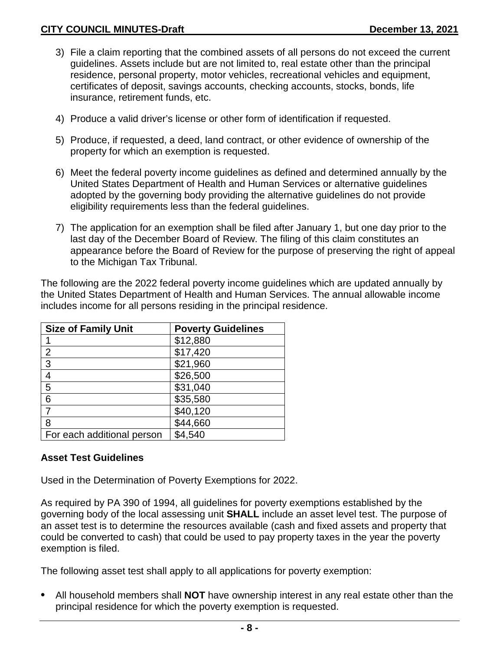- 3) File a claim reporting that the combined assets of all persons do not exceed the current guidelines. Assets include but are not limited to, real estate other than the principal residence, personal property, motor vehicles, recreational vehicles and equipment, certificates of deposit, savings accounts, checking accounts, stocks, bonds, life insurance, retirement funds, etc.
- 4) Produce a valid driver's license or other form of identification if requested.
- 5) Produce, if requested, a deed, land contract, or other evidence of ownership of the property for which an exemption is requested.
- 6) Meet the federal poverty income guidelines as defined and determined annually by the United States Department of Health and Human Services or alternative guidelines adopted by the governing body providing the alternative guidelines do not provide eligibility requirements less than the federal guidelines.
- 7) The application for an exemption shall be filed after January 1, but one day prior to the last day of the December Board of Review. The filing of this claim constitutes an appearance before the Board of Review for the purpose of preserving the right of appeal to the Michigan Tax Tribunal.

The following are the 2022 federal poverty income guidelines which are updated annually by the United States Department of Health and Human Services. The annual allowable income includes income for all persons residing in the principal residence.

| <b>Size of Family Unit</b> | <b>Poverty Guidelines</b> |
|----------------------------|---------------------------|
|                            | \$12,880                  |
| 2                          | \$17,420                  |
| 3                          | \$21,960                  |
| 4                          | \$26,500                  |
| 5                          | \$31,040                  |
| 6                          | \$35,580                  |
|                            | \$40,120                  |
| 8                          | \$44,660                  |
| For each additional person | \$4,540                   |

## **Asset Test Guidelines**

Used in the Determination of Poverty Exemptions for 2022.

As required by PA 390 of 1994, all guidelines for poverty exemptions established by the governing body of the local assessing unit **SHALL** include an asset level test. The purpose of an asset test is to determine the resources available (cash and fixed assets and property that could be converted to cash) that could be used to pay property taxes in the year the poverty exemption is filed.

The following asset test shall apply to all applications for poverty exemption:

**•** All household members shall **NOT** have ownership interest in any real estate other than the principal residence for which the poverty exemption is requested.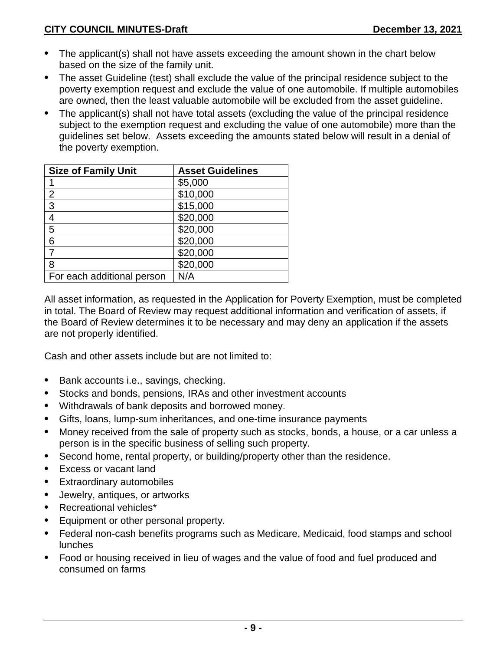- **•** The applicant(s) shall not have assets exceeding the amount shown in the chart below based on the size of the family unit.
- **•** The asset Guideline (test) shall exclude the value of the principal residence subject to the poverty exemption request and exclude the value of one automobile. If multiple automobiles are owned, then the least valuable automobile will be excluded from the asset guideline.
- **•** The applicant(s) shall not have total assets (excluding the value of the principal residence subject to the exemption request and excluding the value of one automobile) more than the guidelines set below. Assets exceeding the amounts stated below will result in a denial of the poverty exemption.

| <b>Size of Family Unit</b> | <b>Asset Guidelines</b> |
|----------------------------|-------------------------|
|                            | \$5,000                 |
| $\overline{2}$             | \$10,000                |
| 3                          | \$15,000                |
| 4                          | \$20,000                |
| 5                          | \$20,000                |
| 6                          | \$20,000                |
|                            | \$20,000                |
| 8                          | \$20,000                |
| For each additional person | N/A                     |

All asset information, as requested in the Application for Poverty Exemption, must be completed in total. The Board of Review may request additional information and verification of assets, if the Board of Review determines it to be necessary and may deny an application if the assets are not properly identified.

Cash and other assets include but are not limited to:

- **•** Bank accounts i.e., savings, checking.
- **•** Stocks and bonds, pensions, IRAs and other investment accounts
- **•** Withdrawals of bank deposits and borrowed money.
- **•** Gifts, loans, lump-sum inheritances, and one-time insurance payments
- **•** Money received from the sale of property such as stocks, bonds, a house, or a car unless a person is in the specific business of selling such property.
- **•** Second home, rental property, or building/property other than the residence.
- **•** Excess or vacant land
- **•** Extraordinary automobiles
- **•** Jewelry, antiques, or artworks
- **•** Recreational vehicles\*
- **•** Equipment or other personal property.
- **•** Federal non-cash benefits programs such as Medicare, Medicaid, food stamps and school lunches
- **•** Food or housing received in lieu of wages and the value of food and fuel produced and consumed on farms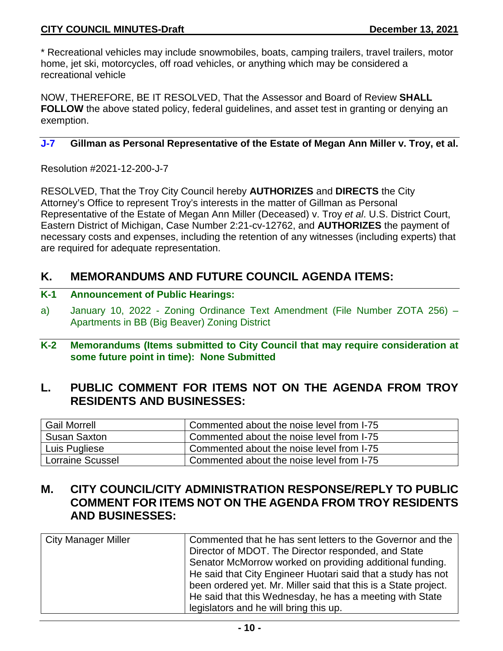\* Recreational vehicles may include snowmobiles, boats, camping trailers, travel trailers, motor home, jet ski, motorcycles, off road vehicles, or anything which may be considered a recreational vehicle

NOW, THEREFORE, BE IT RESOLVED, That the Assessor and Board of Review **SHALL FOLLOW** the above stated policy, federal guidelines, and asset test in granting or denying an exemption.

### **J-7 Gillman as Personal Representative of the Estate of Megan Ann Miller v. Troy, et al.**

Resolution #2021-12-200-J-7

RESOLVED, That the Troy City Council hereby **AUTHORIZES** and **DIRECTS** the City Attorney's Office to represent Troy's interests in the matter of Gillman as Personal Representative of the Estate of Megan Ann Miller (Deceased) v. Troy *et al*. U.S. District Court, Eastern District of Michigan, Case Number 2:21-cv-12762, and **AUTHORIZES** the payment of necessary costs and expenses, including the retention of any witnesses (including experts) that are required for adequate representation.

# **K. MEMORANDUMS AND FUTURE COUNCIL AGENDA ITEMS:**

- **K-1 Announcement of Public Hearings:**
- a) January 10, 2022 Zoning Ordinance Text Amendment (File Number ZOTA 256) Apartments in BB (Big Beaver) Zoning District
- **K-2 Memorandums (Items submitted to City Council that may require consideration at some future point in time): None Submitted**

## **L. PUBLIC COMMENT FOR ITEMS NOT ON THE AGENDA FROM TROY RESIDENTS AND BUSINESSES:**

| <b>Gail Morrell</b>     | Commented about the noise level from I-75 |
|-------------------------|-------------------------------------------|
| <b>Susan Saxton</b>     | Commented about the noise level from I-75 |
| Luis Pugliese           | Commented about the noise level from I-75 |
| <b>Lorraine Scussel</b> | Commented about the noise level from I-75 |

## **M. CITY COUNCIL/CITY ADMINISTRATION RESPONSE/REPLY TO PUBLIC COMMENT FOR ITEMS NOT ON THE AGENDA FROM TROY RESIDENTS AND BUSINESSES:**

| <b>City Manager Miller</b> | Commented that he has sent letters to the Governor and the      |
|----------------------------|-----------------------------------------------------------------|
|                            | Director of MDOT. The Director responded, and State             |
|                            | Senator McMorrow worked on providing additional funding.        |
|                            | He said that City Engineer Huotari said that a study has not    |
|                            | been ordered yet. Mr. Miller said that this is a State project. |
|                            | He said that this Wednesday, he has a meeting with State        |
|                            | legislators and he will bring this up.                          |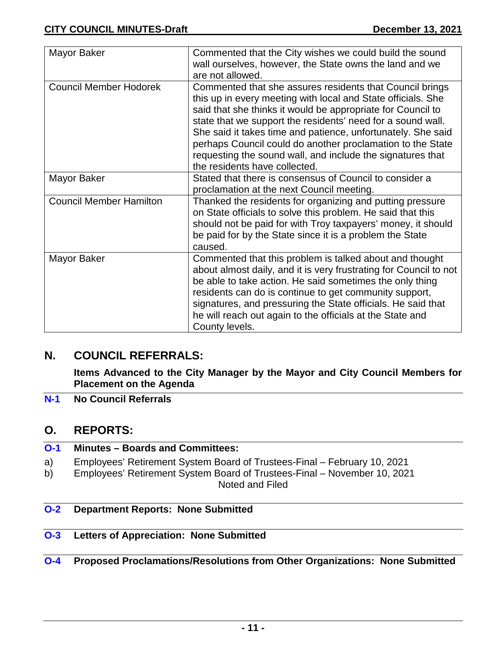| Mayor Baker                    | Commented that the City wishes we could build the sound<br>wall ourselves, however, the State owns the land and we                                                                                                                                                                                                                                                                                                                                                                  |
|--------------------------------|-------------------------------------------------------------------------------------------------------------------------------------------------------------------------------------------------------------------------------------------------------------------------------------------------------------------------------------------------------------------------------------------------------------------------------------------------------------------------------------|
|                                | are not allowed.                                                                                                                                                                                                                                                                                                                                                                                                                                                                    |
| <b>Council Member Hodorek</b>  | Commented that she assures residents that Council brings<br>this up in every meeting with local and State officials. She<br>said that she thinks it would be appropriate for Council to<br>state that we support the residents' need for a sound wall.<br>She said it takes time and patience, unfortunately. She said<br>perhaps Council could do another proclamation to the State<br>requesting the sound wall, and include the signatures that<br>the residents have collected. |
| Mayor Baker                    | Stated that there is consensus of Council to consider a                                                                                                                                                                                                                                                                                                                                                                                                                             |
|                                | proclamation at the next Council meeting.                                                                                                                                                                                                                                                                                                                                                                                                                                           |
| <b>Council Member Hamilton</b> | Thanked the residents for organizing and putting pressure<br>on State officials to solve this problem. He said that this<br>should not be paid for with Troy taxpayers' money, it should<br>be paid for by the State since it is a problem the State<br>caused.                                                                                                                                                                                                                     |
| Mayor Baker                    | Commented that this problem is talked about and thought<br>about almost daily, and it is very frustrating for Council to not<br>be able to take action. He said sometimes the only thing<br>residents can do is continue to get community support,<br>signatures, and pressuring the State officials. He said that<br>he will reach out again to the officials at the State and<br>County levels.                                                                                   |

## **N. COUNCIL REFERRALS:**

**Items Advanced to the City Manager by the Mayor and City Council Members for Placement on the Agenda**

**N-1 No Council Referrals**

## **O. REPORTS:**

| $O-1$ | <b>Minutes – Boards and Committees:</b>                                  |
|-------|--------------------------------------------------------------------------|
| a)    | Employees' Retirement System Board of Trustees-Final – February 10, 2021 |
| b)    | Employees' Retirement System Board of Trustees-Final – November 10, 2021 |

Noted and Filed

### **O-2 Department Reports: None Submitted**

## **O-3 Letters of Appreciation: None Submitted**

## **O-4 Proposed Proclamations/Resolutions from Other Organizations: None Submitted**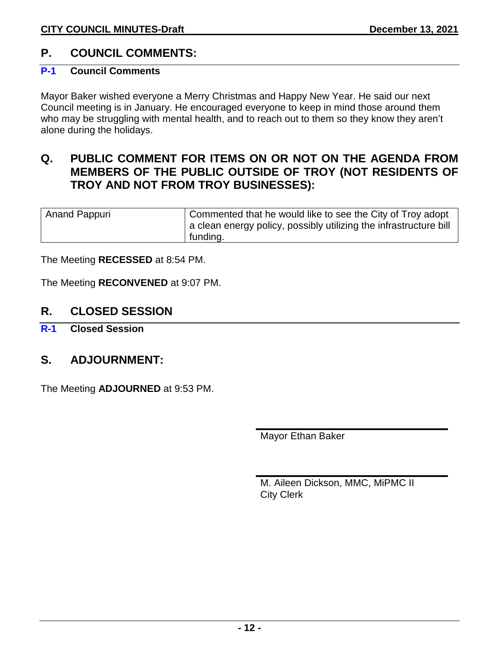## **P. COUNCIL COMMENTS:**

### **P-1 Council Comments**

Mayor Baker wished everyone a Merry Christmas and Happy New Year. He said our next Council meeting is in January. He encouraged everyone to keep in mind those around them who may be struggling with mental health, and to reach out to them so they know they aren't alone during the holidays.

## **Q. PUBLIC COMMENT FOR ITEMS ON OR NOT ON THE AGENDA FROM MEMBERS OF THE PUBLIC OUTSIDE OF TROY (NOT RESIDENTS OF TROY AND NOT FROM TROY BUSINESSES):**

| <b>Anand Pappuri</b> | Commented that he would like to see the City of Troy adopt<br>a clean energy policy, possibly utilizing the infrastructure bill |
|----------------------|---------------------------------------------------------------------------------------------------------------------------------|
|                      | funding.                                                                                                                        |

The Meeting **RECESSED** at 8:54 PM.

The Meeting **RECONVENED** at 9:07 PM.

## **R. CLOSED SESSION**

**R-1 Closed Session**

## **S. ADJOURNMENT:**

The Meeting **ADJOURNED** at 9:53 PM.

Mayor Ethan Baker

M. Aileen Dickson, MMC, MiPMC II City Clerk